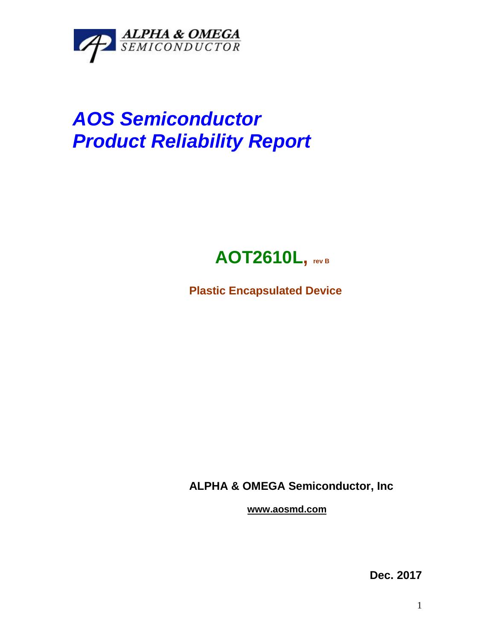

## *AOS Semiconductor Product Reliability Report*



**Plastic Encapsulated Device**

**ALPHA & OMEGA Semiconductor, Inc**

**www.aosmd.com**

**Dec. 2017**